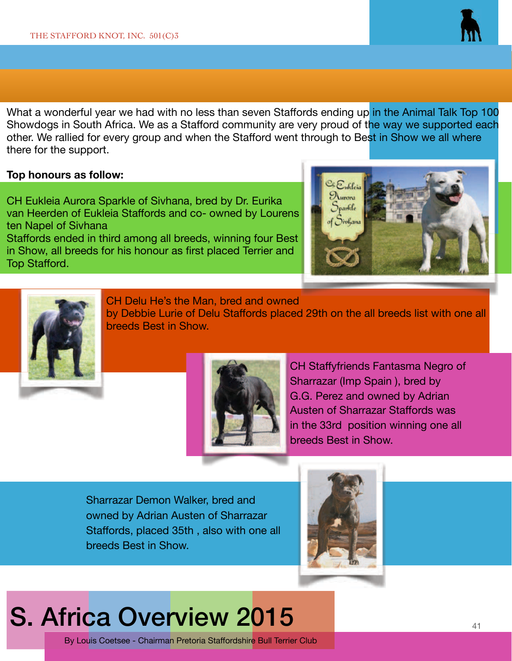

What a wonderful year we had with no less than seven Staffords ending up in the Animal Talk Top 100 Showdogs in South Africa. We as a Stafford community are very proud of the way we supported each other. We rallied for every group and when the Stafford went through to Best in Show we all where there for the support.

## **Top honours as follow:**

CH Eukleia Aurora Sparkle of Sivhana, bred by Dr. Eurika van Heerden of Eukleia Staffords and co- owned by Lourens ten Napel of Sivhana Staffords ended in third among all breeds, winning four Best in Show, all breeds for his honour as first placed Terrier and Top Stafford.





CH Delu He's the Man, bred and owned

by Debbie Lurie of Delu Staffords placed 29th on the all breeds list with one all breeds Best in Show.



CH Staffyfriends Fantasma Negro of Sharrazar (Imp Spain ), bred by G.G. Perez and owned by Adrian Austen of Sharrazar Staffords was in the 33rd position winning one all breeds Best in Show.

Sharrazar Demon Walker, bred and owned by Adrian Austen of Sharrazar Staffords, placed 35th, also with one all breeds Best in Show.



## S. Africa Overview 2015

By Louis Coetsee - Chairman Pretoria Staffordshire Bull Terrier Club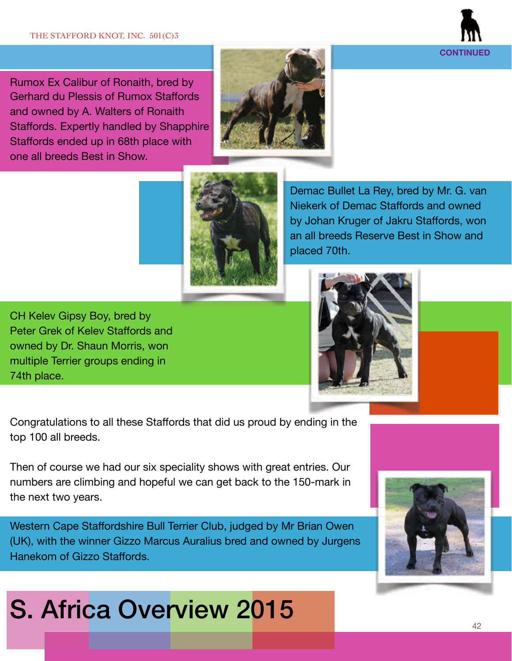

Rumox Ex Calibur of Ronaith, bred by Gerhard du Plessis of Rumox Staffords and owned by A. Walters of Ronaith Staffords. Expertly handled by Shapphire Staffords ended up in 68th place with one all breeds Best in Show.





Demac Bullet La Rey, bred by Mr. G. van Niekerk of Demac Staffords and owned by Johan Kruger of Jakru Staffords, won an all breeds Reserve Best in Show and placed 70th.

CH Kelev Gipsy Boy, bred by Peter Grek of Kelev Staffords and owned by Dr. Shaun Morris, won multiple Terrier groups ending in 74th place.



Congratulations to all these Staffords that did us proud by ending in the top 100 all breeds.

Then of course we had our six speciality shows with great entries. Our numbers are climbing and hopeful we can get back to the 150-mark in the next two years.

Western Cape Staffordshire Bull Terrier Club, judged by Mr Brian Owen (UK), with the winner Gizzo Marcus Auralius bred and owned by Jurgens Hanekom of Gizzo Staffords.

## S. Africa Overview 2015